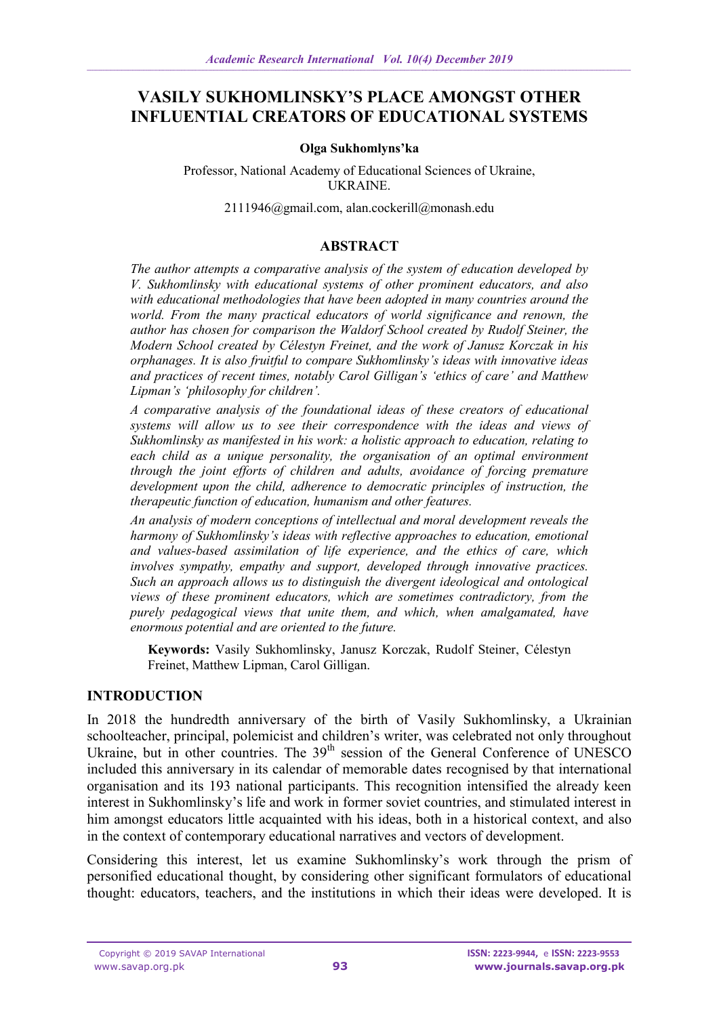# **VASILY SUKHOMLINSKY'S PLACE AMONGST OTHER INFLUENTIAL CREATORS OF EDUCATIONAL SYSTEMS**

#### **Olga Sukhomlyns'ka**

Professor, National Academy of Educational Sciences of Ukraine, UKRAINE.

[2111946@gmail.com,](mailto:2111946@gmail.com) [alan.cockerill@monash.edu](mailto:alan.cockerill@monash.edu)

#### **ABSTRACT**

*The author attempts a comparative analysis of the system of education developed by V. Sukhomlinsky with educational systems of other prominent educators, and also with educational methodologies that have been adopted in many countries around the world. From the many practical educators of world significance and renown, the author has chosen for comparison the Waldorf School created by Rudolf Steiner, the Modern School created by Célestyn Freinet, and the work of Janusz Korczak in his orphanages. It is also fruitful to compare Sukhomlinsky's ideas with innovative ideas and practices of recent times, notably Carol Gilligan's 'ethics of care' and Matthew Lipman's 'philosophy for children'.*

*A comparative analysis of the foundational ideas of these creators of educational systems will allow us to see their correspondence with the ideas and views of Sukhomlinsky as manifested in his work: a holistic approach to education, relating to each child as a unique personality, the organisation of an optimal environment through the joint efforts of children and adults, avoidance of forcing premature development upon the child, adherence to democratic principles of instruction, the therapeutic function of education, humanism and other features.*

*An analysis of modern conceptions of intellectual and moral development reveals the harmony of Sukhomlinsky's ideas with reflective approaches to education, emotional and values-based assimilation of life experience, and the ethics of care, which involves sympathy, empathy and support, developed through innovative practices. Such an approach allows us to distinguish the divergent ideological and ontological views of these prominent educators, which are sometimes contradictory, from the purely pedagogical views that unite them, and which, when amalgamated, have enormous potential and are oriented to the future.*

**Keywords:** Vasily Sukhomlinsky, Janusz Korczak, Rudolf Steiner, Célestyn Freinet, Matthew Lipman, Carol Gilligan.

#### **INTRODUCTION**

In 2018 the hundredth anniversary of the birth of Vasily Sukhomlinsky, a Ukrainian schoolteacher, principal, polemicist and children's writer, was celebrated not only throughout Ukraine, but in other countries. The  $39<sup>th</sup>$  session of the General Conference of UNESCO included this anniversary in its calendar of memorable dates recognised by that international organisation and its 193 national participants. This recognition intensified the already keen interest in Sukhomlinsky's life and work in former soviet countries, and stimulated interest in him amongst educators little acquainted with his ideas, both in a historical context, and also in the context of contemporary educational narratives and vectors of development.

Considering this interest, let us examine Sukhomlinsky's work through the prism of personified educational thought, by considering other significant formulators of educational thought: educators, teachers, and the institutions in which their ideas were developed. It is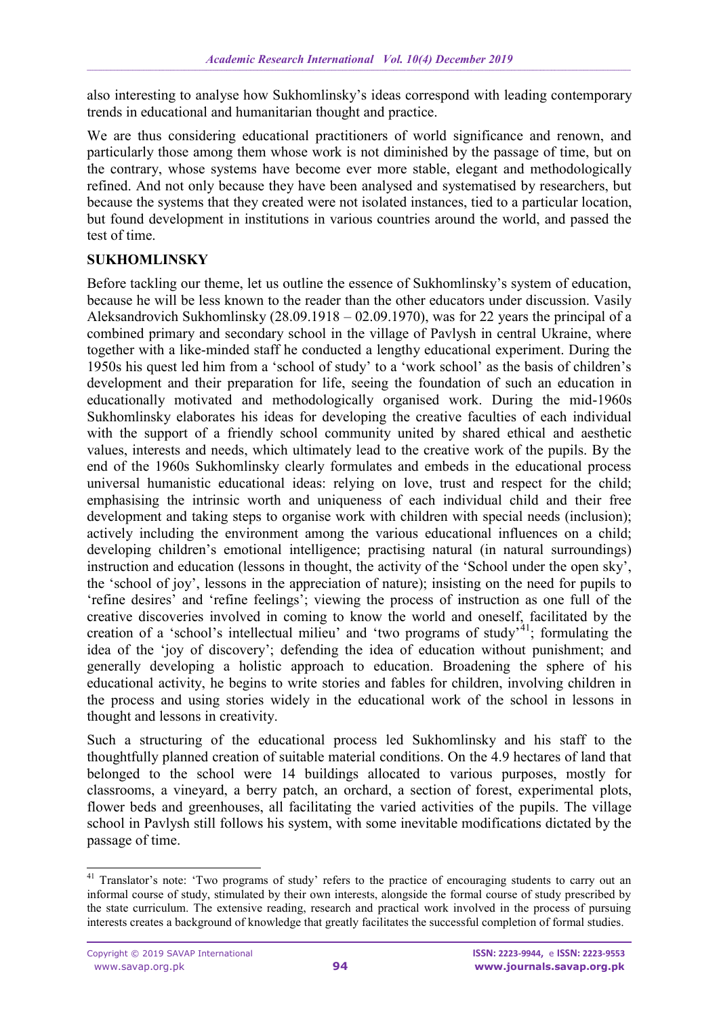also interesting to analyse how Sukhomlinsky's ideas correspond with leading contemporary trends in educational and humanitarian thought and practice.

We are thus considering educational practitioners of world significance and renown, and particularly those among them whose work is not diminished by the passage of time, but on the contrary, whose systems have become ever more stable, elegant and methodologically refined. And not only because they have been analysed and systematised by researchers, but because the systems that they created were not isolated instances, tied to a particular location, but found development in institutions in various countries around the world, and passed the test of time.

#### **SUKHOMLINSKY**

Before tackling our theme, let us outline the essence of Sukhomlinsky's system of education, because he will be less known to the reader than the other educators under discussion. Vasily Aleksandrovich Sukhomlinsky (28.09.1918 – 02.09.1970), was for 22 years the principal of a combined primary and secondary school in the village of Pavlysh in central Ukraine, where together with a like-minded staff he conducted a lengthy educational experiment. During the 1950s his quest led him from a 'school of study' to a 'work school' as the basis of children's development and their preparation for life, seeing the foundation of such an education in educationally motivated and methodologically organised work. During the mid-1960s Sukhomlinsky elaborates his ideas for developing the creative faculties of each individual with the support of a friendly school community united by shared ethical and aesthetic values, interests and needs, which ultimately lead to the creative work of the pupils. By the end of the 1960s Sukhomlinsky clearly formulates and embeds in the educational process universal humanistic educational ideas: relying on love, trust and respect for the child; emphasising the intrinsic worth and uniqueness of each individual child and their free development and taking steps to organise work with children with special needs (inclusion); actively including the environment among the various educational influences on a child; developing children's emotional intelligence; practising natural (in natural surroundings) instruction and education (lessons in thought, the activity of the 'School under the open sky', the 'school of joy', lessons in the appreciation of nature); insisting on the need for pupils to 'refine desires' and 'refine feelings'; viewing the process of instruction as one full of the creative discoveries involved in coming to know the world and oneself, facilitated by the creation of a 'school's intellectual milieu' and 'two programs of study'<sup>41</sup>; formulating the idea of the 'joy of discovery'; defending the idea of education without punishment; and generally developing a holistic approach to education. Broadening the sphere of his educational activity, he begins to write stories and fables for children, involving children in the process and using stories widely in the educational work of the school in lessons in thought and lessons in creativity.

Such a structuring of the educational process led Sukhomlinsky and his staff to the thoughtfully planned creation of suitable material conditions. On the 4.9 hectares of land that belonged to the school were 14 buildings allocated to various purposes, mostly for classrooms, a vineyard, a berry patch, an orchard, a section of forest, experimental plots, flower beds and greenhouses, all facilitating the varied activities of the pupils. The village school in Pavlysh still follows his system, with some inevitable modifications dictated by the passage of time.

<sup>-</sup><sup>41</sup> Translator's note: 'Two programs of study' refers to the practice of encouraging students to carry out an informal course of study, stimulated by their own interests, alongside the formal course of study prescribed by the state curriculum. The extensive reading, research and practical work involved in the process of pursuing interests creates a background of knowledge that greatly facilitates the successful completion of formal studies.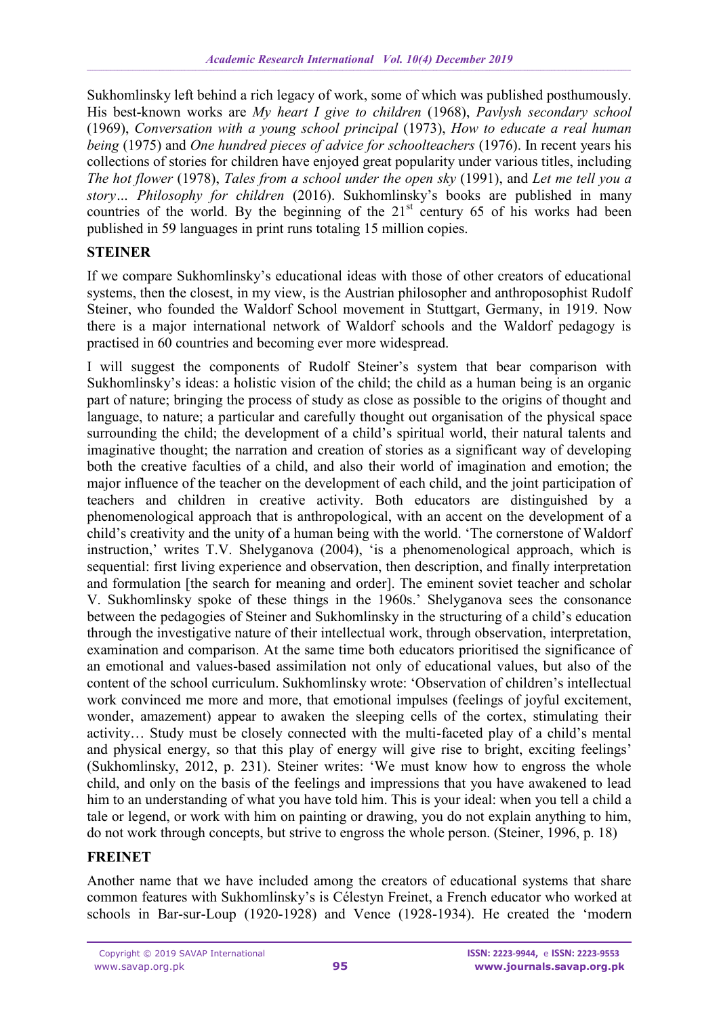Sukhomlinsky left behind a rich legacy of work, some of which was published posthumously. His best-known works are *My heart I give to children* (1968), *Pavlysh secondary school* (1969), *Conversation with a young school principal* (1973), *How to educate a real human being* (1975) and *One hundred pieces of advice for schoolteachers* (1976). In recent years his collections of stories for children have enjoyed great popularity under various titles, including *The hot flower* (1978), *Tales from a school under the open sky* (1991), and *Let me tell you a story… Philosophy for children* (2016). Sukhomlinsky's books are published in many countries of the world. By the beginning of the  $21<sup>st</sup>$  century 65 of his works had been published in 59 languages in print runs totaling 15 million copies.

## **STEINER**

If we compare Sukhomlinsky's educational ideas with those of other creators of educational systems, then the closest, in my view, is the Austrian philosopher and anthroposophist Rudolf Steiner, who founded the Waldorf School movement in Stuttgart, Germany, in 1919. Now there is a major international network of Waldorf schools and the Waldorf pedagogy is practised in 60 countries and becoming ever more widespread.

I will suggest the components of Rudolf Steiner's system that bear comparison with Sukhomlinsky's ideas: a holistic vision of the child; the child as a human being is an organic part of nature; bringing the process of study as close as possible to the origins of thought and language, to nature; a particular and carefully thought out organisation of the physical space surrounding the child; the development of a child's spiritual world, their natural talents and imaginative thought; the narration and creation of stories as a significant way of developing both the creative faculties of a child, and also their world of imagination and emotion; the major influence of the teacher on the development of each child, and the joint participation of teachers and children in creative activity. Both educators are distinguished by a phenomenological approach that is anthropological, with an accent on the development of a child's creativity and the unity of a human being with the world. 'The cornerstone of Waldorf instruction,' writes T.V. Shelyganova (2004), 'is a phenomenological approach, which is sequential: first living experience and observation, then description, and finally interpretation and formulation [the search for meaning and order]. The eminent soviet teacher and scholar V. Sukhomlinsky spoke of these things in the 1960s.' Shelyganova sees the consonance between the pedagogies of Steiner and Sukhomlinsky in the structuring of a child's education through the investigative nature of their intellectual work, through observation, interpretation, examination and comparison. At the same time both educators prioritised the significance of an emotional and values-based assimilation not only of educational values, but also of the content of the school curriculum. Sukhomlinsky wrote: 'Observation of children's intellectual work convinced me more and more, that emotional impulses (feelings of joyful excitement, wonder, amazement) appear to awaken the sleeping cells of the cortex, stimulating their activity… Study must be closely connected with the multi-faceted play of a child's mental and physical energy, so that this play of energy will give rise to bright, exciting feelings' (Sukhomlinsky, 2012, p. 231). Steiner writes: 'We must know how to engross the whole child, and only on the basis of the feelings and impressions that you have awakened to lead him to an understanding of what you have told him. This is your ideal: when you tell a child a tale or legend, or work with him on painting or drawing, you do not explain anything to him, do not work through concepts, but strive to engross the whole person. (Steiner, 1996, p. 18)

## **FREINET**

Another name that we have included among the creators of educational systems that share common features with Sukhomlinsky's is Célestyn Freinet, a French educator who worked at schools in Bar-sur-Loup (1920-1928) and Vence (1928-1934). He created the 'modern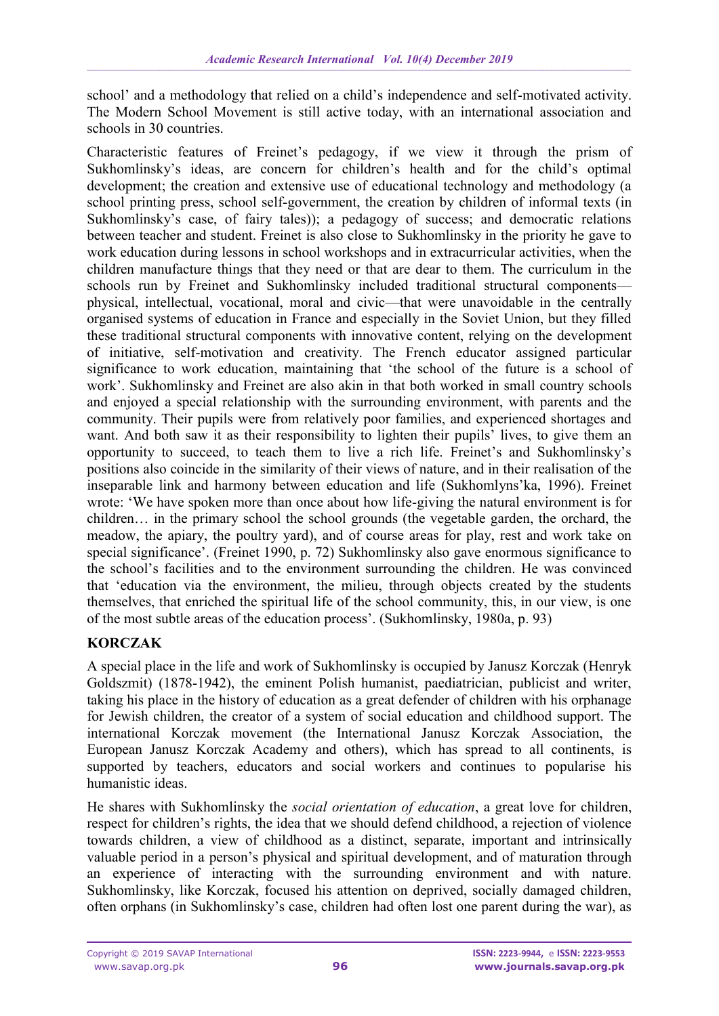school' and a methodology that relied on a child's independence and self-motivated activity. The Modern School Movement is still active today, with an international association and schools in 30 countries.

Characteristic features of Freinet's pedagogy, if we view it through the prism of Sukhomlinsky's ideas, are concern for children's health and for the child's optimal development; the creation and extensive use of educational technology and methodology (a school printing press, school self-government, the creation by children of informal texts (in Sukhomlinsky's case, of fairy tales)); a pedagogy of success; and democratic relations between teacher and student. Freinet is also close to Sukhomlinsky in the priority he gave to work education during lessons in school workshops and in extracurricular activities, when the children manufacture things that they need or that are dear to them. The curriculum in the schools run by Freinet and Sukhomlinsky included traditional structural components physical, intellectual, vocational, moral and civic—that were unavoidable in the centrally organised systems of education in France and especially in the Soviet Union, but they filled these traditional structural components with innovative content, relying on the development of initiative, self-motivation and creativity. The French educator assigned particular significance to work education, maintaining that 'the school of the future is a school of work'. Sukhomlinsky and Freinet are also akin in that both worked in small country schools and enjoyed a special relationship with the surrounding environment, with parents and the community. Their pupils were from relatively poor families, and experienced shortages and want. And both saw it as their responsibility to lighten their pupils' lives, to give them an opportunity to succeed, to teach them to live a rich life. Freinet's and Sukhomlinsky's positions also coincide in the similarity of their views of nature, and in their realisation of the inseparable link and harmony between education and life (Sukhomlyns'ka, 1996). Freinet wrote: 'We have spoken more than once about how life-giving the natural environment is for children… in the primary school the school grounds (the vegetable garden, the orchard, the meadow, the apiary, the poultry yard), and of course areas for play, rest and work take on special significance'. (Freinet 1990, p. 72) Sukhomlinsky also gave enormous significance to the school's facilities and to the environment surrounding the children. He was convinced that 'education via the environment, the milieu, through objects created by the students themselves, that enriched the spiritual life of the school community, this, in our view, is one of the most subtle areas of the education process'. (Sukhomlinsky, 1980a, p. 93)

## **KORCZAK**

A special place in the life and work of Sukhomlinsky is occupied by Janusz Korczak (Henryk Goldszmit) (1878-1942), the eminent Polish humanist, paediatrician, publicist and writer, taking his place in the history of education as a great defender of children with his orphanage for Jewish children, the creator of a system of social education and childhood support. The international Korczak movement (the International Janusz Korczak Association, the European Janusz Korczak Academy and others), which has spread to all continents, is supported by teachers, educators and social workers and continues to popularise his humanistic ideas.

He shares with Sukhomlinsky the *social orientation of education*, a great love for children, respect for children's rights, the idea that we should defend childhood, a rejection of violence towards children, a view of childhood as a distinct, separate, important and intrinsically valuable period in a person's physical and spiritual development, and of maturation through an experience of interacting with the surrounding environment and with nature. Sukhomlinsky, like Korczak, focused his attention on deprived, socially damaged children, often orphans (in Sukhomlinsky's case, children had often lost one parent during the war), as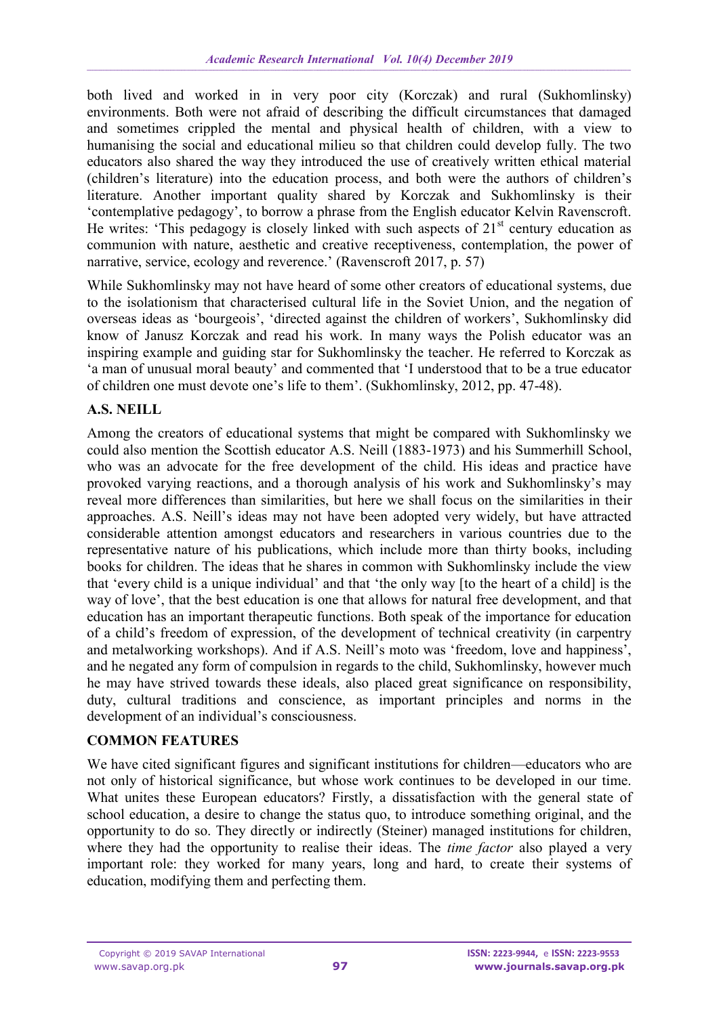both lived and worked in in very poor city (Korczak) and rural (Sukhomlinsky) environments. Both were not afraid of describing the difficult circumstances that damaged and sometimes crippled the mental and physical health of children, with a view to humanising the social and educational milieu so that children could develop fully. The two educators also shared the way they introduced the use of creatively written ethical material (children's literature) into the education process, and both were the authors of children's literature. Another important quality shared by Korczak and Sukhomlinsky is their 'contemplative pedagogy', to borrow a phrase from the English educator Kelvin Ravenscroft. He writes: 'This pedagogy is closely linked with such aspects of  $21<sup>st</sup>$  century education as communion with nature, aesthetic and creative receptiveness, contemplation, the power of narrative, service, ecology and reverence.' (Ravenscroft 2017, p. 57)

While Sukhomlinsky may not have heard of some other creators of educational systems, due to the isolationism that characterised cultural life in the Soviet Union, and the negation of overseas ideas as 'bourgeois', 'directed against the children of workers', Sukhomlinsky did know of Janusz Korczak and read his work. In many ways the Polish educator was an inspiring example and guiding star for Sukhomlinsky the teacher. He referred to Korczak as 'a man of unusual moral beauty' and commented that 'I understood that to be a true educator of children one must devote one's life to them'. (Sukhomlinsky, 2012, pp. 47-48).

## **A.S. NEILL**

Among the creators of educational systems that might be compared with Sukhomlinsky we could also mention the Scottish educator A.S. Neill (1883-1973) and his Summerhill School, who was an advocate for the free development of the child. His ideas and practice have provoked varying reactions, and a thorough analysis of his work and Sukhomlinsky's may reveal more differences than similarities, but here we shall focus on the similarities in their approaches. A.S. Neill's ideas may not have been adopted very widely, but have attracted considerable attention amongst educators and researchers in various countries due to the representative nature of his publications, which include more than thirty books, including books for children. The ideas that he shares in common with Sukhomlinsky include the view that 'every child is a unique individual' and that 'the only way [to the heart of a child] is the way of love', that the best education is one that allows for natural free development, and that education has an important therapeutic functions. Both speak of the importance for education of a child's freedom of expression, of the development of technical creativity (in carpentry and metalworking workshops). And if A.S. Neill's moto was 'freedom, love and happiness', and he negated any form of compulsion in regards to the child, Sukhomlinsky, however much he may have strived towards these ideals, also placed great significance on responsibility, duty, cultural traditions and conscience, as important principles and norms in the development of an individual's consciousness.

## **COMMON FEATURES**

We have cited significant figures and significant institutions for children—educators who are not only of historical significance, but whose work continues to be developed in our time. What unites these European educators? Firstly, a dissatisfaction with the general state of school education, a desire to change the status quo, to introduce something original, and the opportunity to do so. They directly or indirectly (Steiner) managed institutions for children, where they had the opportunity to realise their ideas. The *time factor* also played a very important role: they worked for many years, long and hard, to create their systems of education, modifying them and perfecting them.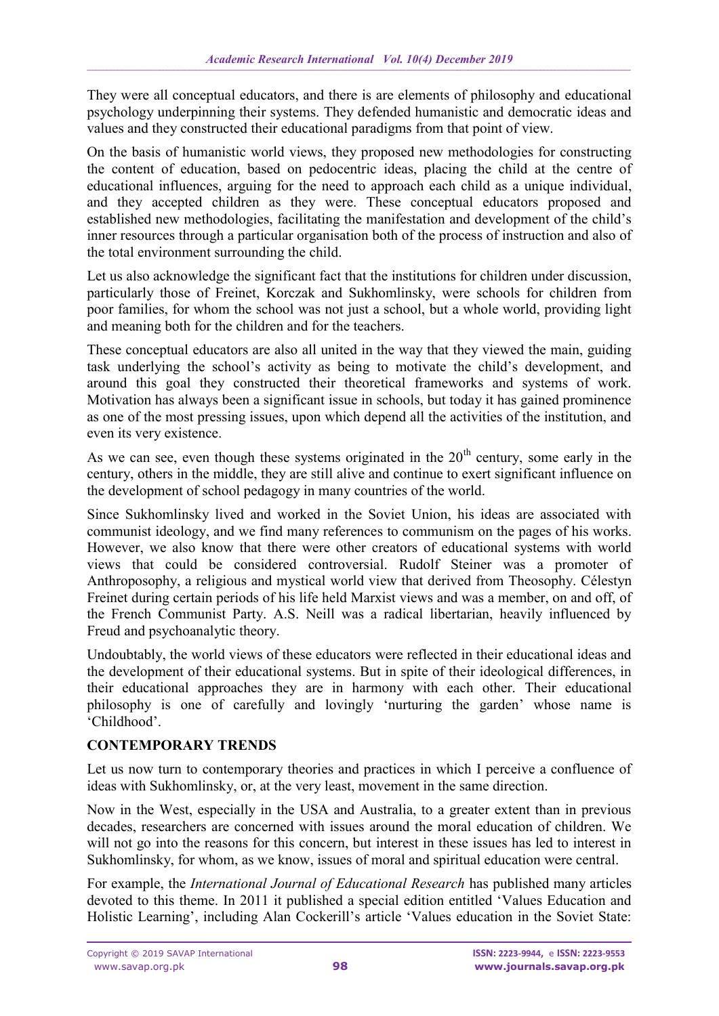They were all conceptual educators, and there is are elements of philosophy and educational psychology underpinning their systems. They defended humanistic and democratic ideas and values and they constructed their educational paradigms from that point of view.

On the basis of humanistic world views, they proposed new methodologies for constructing the content of education, based on pedocentric ideas, placing the child at the centre of educational influences, arguing for the need to approach each child as a unique individual, and they accepted children as they were. These conceptual educators proposed and established new methodologies, facilitating the manifestation and development of the child's inner resources through a particular organisation both of the process of instruction and also of the total environment surrounding the child.

Let us also acknowledge the significant fact that the institutions for children under discussion, particularly those of Freinet, Korczak and Sukhomlinsky, were schools for children from poor families, for whom the school was not just a school, but a whole world, providing light and meaning both for the children and for the teachers.

These conceptual educators are also all united in the way that they viewed the main, guiding task underlying the school's activity as being to motivate the child's development, and around this goal they constructed their theoretical frameworks and systems of work. Motivation has always been a significant issue in schools, but today it has gained prominence as one of the most pressing issues, upon which depend all the activities of the institution, and even its very existence.

As we can see, even though these systems originated in the  $20<sup>th</sup>$  century, some early in the century, others in the middle, they are still alive and continue to exert significant influence on the development of school pedagogy in many countries of the world.

Since Sukhomlinsky lived and worked in the Soviet Union, his ideas are associated with communist ideology, and we find many references to communism on the pages of his works. However, we also know that there were other creators of educational systems with world views that could be considered controversial. Rudolf Steiner was a promoter of Anthroposophy, a religious and mystical world view that derived from Theosophy. Célestyn Freinet during certain periods of his life held Marxist views and was a member, on and off, of the French Communist Party. A.S. Neill was a radical libertarian, heavily influenced by Freud and psychoanalytic theory.

Undoubtably, the world views of these educators were reflected in their educational ideas and the development of their educational systems. But in spite of their ideological differences, in their educational approaches they are in harmony with each other. Their educational philosophy is one of carefully and lovingly 'nurturing the garden' whose name is 'Childhood'.

## **CONTEMPORARY TRENDS**

Let us now turn to contemporary theories and practices in which I perceive a confluence of ideas with Sukhomlinsky, or, at the very least, movement in the same direction.

Now in the West, especially in the USA and Australia, to a greater extent than in previous decades, researchers are concerned with issues around the moral education of children. We will not go into the reasons for this concern, but interest in these issues has led to interest in Sukhomlinsky, for whom, as we know, issues of moral and spiritual education were central.

For example, the *International Journal of Educational Research* has published many articles devoted to this theme. In 2011 it published a special edition entitled 'Values Education and Holistic Learning', including Alan Cockerill's article 'Values education in the Soviet State: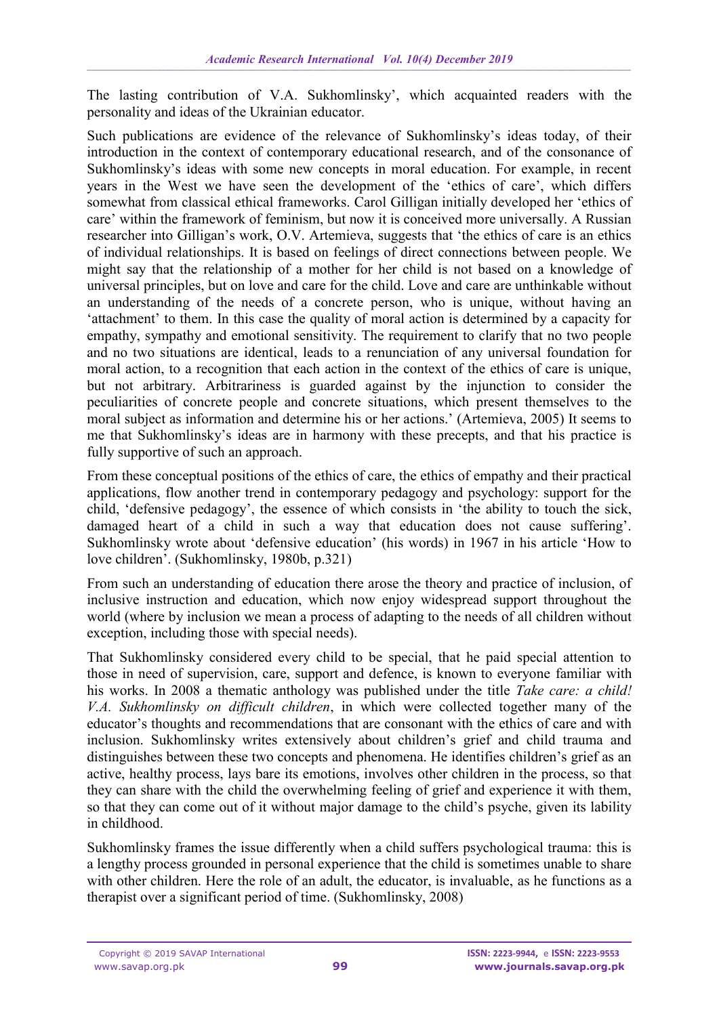The lasting contribution of V.A. Sukhomlinsky', which acquainted readers with the personality and ideas of the Ukrainian educator.

Such publications are evidence of the relevance of Sukhomlinsky's ideas today, of their introduction in the context of contemporary educational research, and of the consonance of Sukhomlinsky's ideas with some new concepts in moral education. For example, in recent years in the West we have seen the development of the 'ethics of care', which differs somewhat from classical ethical frameworks. Carol Gilligan initially developed her 'ethics of care' within the framework of feminism, but now it is conceived more universally. A Russian researcher into Gilligan's work, O.V. Artemieva, suggests that 'the ethics of care is an ethics of individual relationships. It is based on feelings of direct connections between people. We might say that the relationship of a mother for her child is not based on a knowledge of universal principles, but on love and care for the child. Love and care are unthinkable without an understanding of the needs of a concrete person, who is unique, without having an 'attachment' to them. In this case the quality of moral action is determined by a capacity for empathy, sympathy and emotional sensitivity. The requirement to clarify that no two people and no two situations are identical, leads to a renunciation of any universal foundation for moral action, to a recognition that each action in the context of the ethics of care is unique, but not arbitrary. Arbitrariness is guarded against by the injunction to consider the peculiarities of concrete people and concrete situations, which present themselves to the moral subject as information and determine his or her actions.' (Artemieva, 2005) It seems to me that Sukhomlinsky's ideas are in harmony with these precepts, and that his practice is fully supportive of such an approach.

From these conceptual positions of the ethics of care, the ethics of empathy and their practical applications, flow another trend in contemporary pedagogy and psychology: support for the child, 'defensive pedagogy', the essence of which consists in 'the ability to touch the sick, damaged heart of a child in such a way that education does not cause suffering'. Sukhomlinsky wrote about 'defensive education' (his words) in 1967 in his article 'How to love children'. (Sukhomlinsky, 1980b, p.321)

From such an understanding of education there arose the theory and practice of inclusion, of inclusive instruction and education, which now enjoy widespread support throughout the world (where by inclusion we mean a process of adapting to the needs of all children without exception, including those with special needs).

That Sukhomlinsky considered every child to be special, that he paid special attention to those in need of supervision, care, support and defence, is known to everyone familiar with his works. In 2008 a thematic anthology was published under the title *Take care: a child! V.A. Sukhomlinsky on difficult children*, in which were collected together many of the educator's thoughts and recommendations that are consonant with the ethics of care and with inclusion. Sukhomlinsky writes extensively about children's grief and child trauma and distinguishes between these two concepts and phenomena. He identifies children's grief as an active, healthy process, lays bare its emotions, involves other children in the process, so that they can share with the child the overwhelming feeling of grief and experience it with them, so that they can come out of it without major damage to the child's psyche, given its lability in childhood.

Sukhomlinsky frames the issue differently when a child suffers psychological trauma: this is a lengthy process grounded in personal experience that the child is sometimes unable to share with other children. Here the role of an adult, the educator, is invaluable, as he functions as a therapist over a significant period of time. (Sukhomlinsky, 2008)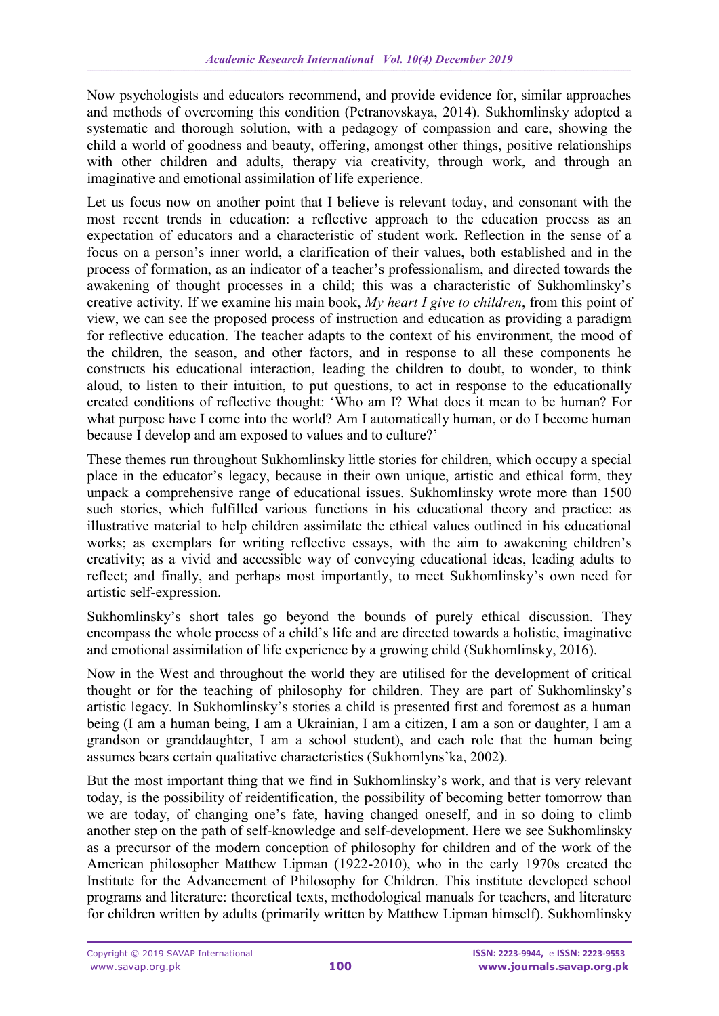Now psychologists and educators recommend, and provide evidence for, similar approaches and methods of overcoming this condition (Petranovskaya, 2014). Sukhomlinsky adopted a systematic and thorough solution, with a pedagogy of compassion and care, showing the child a world of goodness and beauty, offering, amongst other things, positive relationships with other children and adults, therapy via creativity, through work, and through an imaginative and emotional assimilation of life experience.

Let us focus now on another point that I believe is relevant today, and consonant with the most recent trends in education: a reflective approach to the education process as an expectation of educators and a characteristic of student work. Reflection in the sense of a focus on a person's inner world, a clarification of their values, both established and in the process of formation, as an indicator of a teacher's professionalism, and directed towards the awakening of thought processes in a child; this was a characteristic of Sukhomlinsky's creative activity. If we examine his main book, *My heart I give to children*, from this point of view, we can see the proposed process of instruction and education as providing a paradigm for reflective education. The teacher adapts to the context of his environment, the mood of the children, the season, and other factors, and in response to all these components he constructs his educational interaction, leading the children to doubt, to wonder, to think aloud, to listen to their intuition, to put questions, to act in response to the educationally created conditions of reflective thought: 'Who am I? What does it mean to be human? For what purpose have I come into the world? Am I automatically human, or do I become human because I develop and am exposed to values and to culture?'

These themes run throughout Sukhomlinsky little stories for children, which occupy a special place in the educator's legacy, because in their own unique, artistic and ethical form, they unpack a comprehensive range of educational issues. Sukhomlinsky wrote more than 1500 such stories, which fulfilled various functions in his educational theory and practice: as illustrative material to help children assimilate the ethical values outlined in his educational works; as exemplars for writing reflective essays, with the aim to awakening children's creativity; as a vivid and accessible way of conveying educational ideas, leading adults to reflect; and finally, and perhaps most importantly, to meet Sukhomlinsky's own need for artistic self-expression.

Sukhomlinsky's short tales go beyond the bounds of purely ethical discussion. They encompass the whole process of a child's life and are directed towards a holistic, imaginative and emotional assimilation of life experience by a growing child (Sukhomlinsky, 2016).

Now in the West and throughout the world they are utilised for the development of critical thought or for the teaching of philosophy for children. They are part of Sukhomlinsky's artistic legacy. In Sukhomlinsky's stories a child is presented first and foremost as a human being (I am a human being, I am a Ukrainian, I am a citizen, I am a son or daughter, I am a grandson or granddaughter, I am a school student), and each role that the human being assumes bears certain qualitative characteristics (Sukhomlyns'ka, 2002).

But the most important thing that we find in Sukhomlinsky's work, and that is very relevant today, is the possibility of reidentification, the possibility of becoming better tomorrow than we are today, of changing one's fate, having changed oneself, and in so doing to climb another step on the path of self-knowledge and self-development. Here we see Sukhomlinsky as a precursor of the modern conception of philosophy for children and of the work of the American philosopher Matthew Lipman (1922-2010), who in the early 1970s created the Institute for the Advancement of Philosophy for Children. This institute developed school programs and literature: theoretical texts, methodological manuals for teachers, and literature for children written by adults (primarily written by Matthew Lipman himself). Sukhomlinsky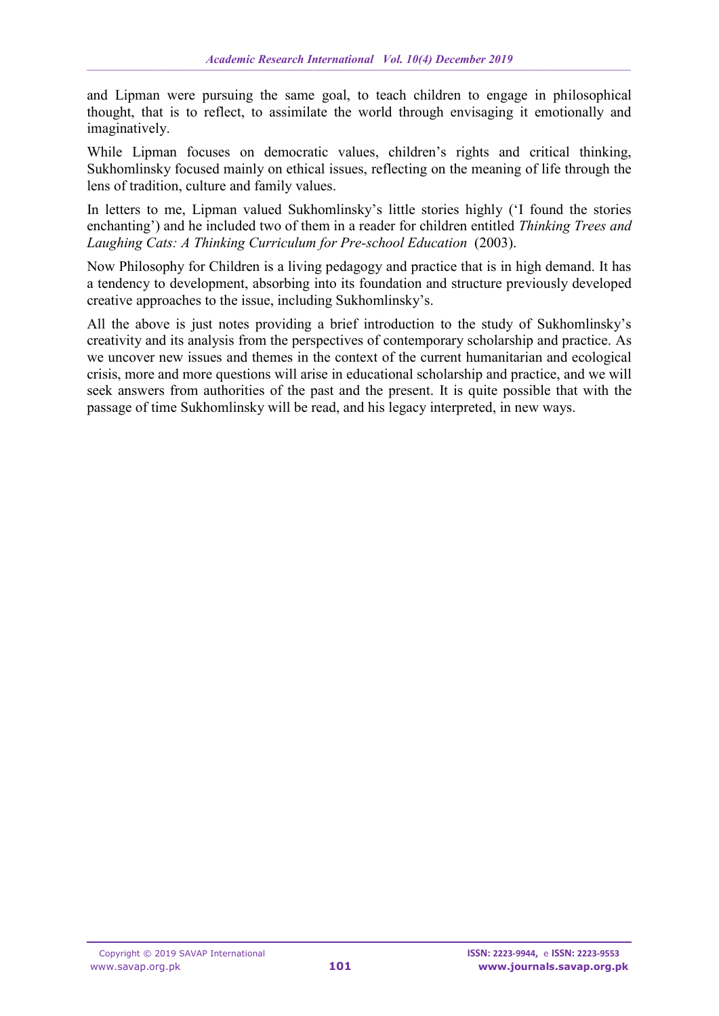and Lipman were pursuing the same goal, to teach children to engage in philosophical thought, that is to reflect, to assimilate the world through envisaging it emotionally and imaginatively.

While Lipman focuses on democratic values, children's rights and critical thinking, Sukhomlinsky focused mainly on ethical issues, reflecting on the meaning of life through the lens of tradition, culture and family values.

In letters to me, Lipman valued Sukhomlinsky's little stories highly ('I found the stories enchanting') and he included two of them in a reader for children entitled *Thinking Trees and*  Laughing Cats: A Thinking Curriculum for Pre-school Education (2003).

Now Philosophy for Children is a living pedagogy and practice that is in high demand. It has a tendency to development, absorbing into its foundation and structure previously developed creative approaches to the issue, including Sukhomlinsky's.

All the above is just notes providing a brief introduction to the study of Sukhomlinsky's creativity and its analysis from the perspectives of contemporary scholarship and practice. As we uncover new issues and themes in the context of the current humanitarian and ecological crisis, more and more questions will arise in educational scholarship and practice, and we will seek answers from authorities of the past and the present. It is quite possible that with the passage of time Sukhomlinsky will be read, and his legacy interpreted, in new ways.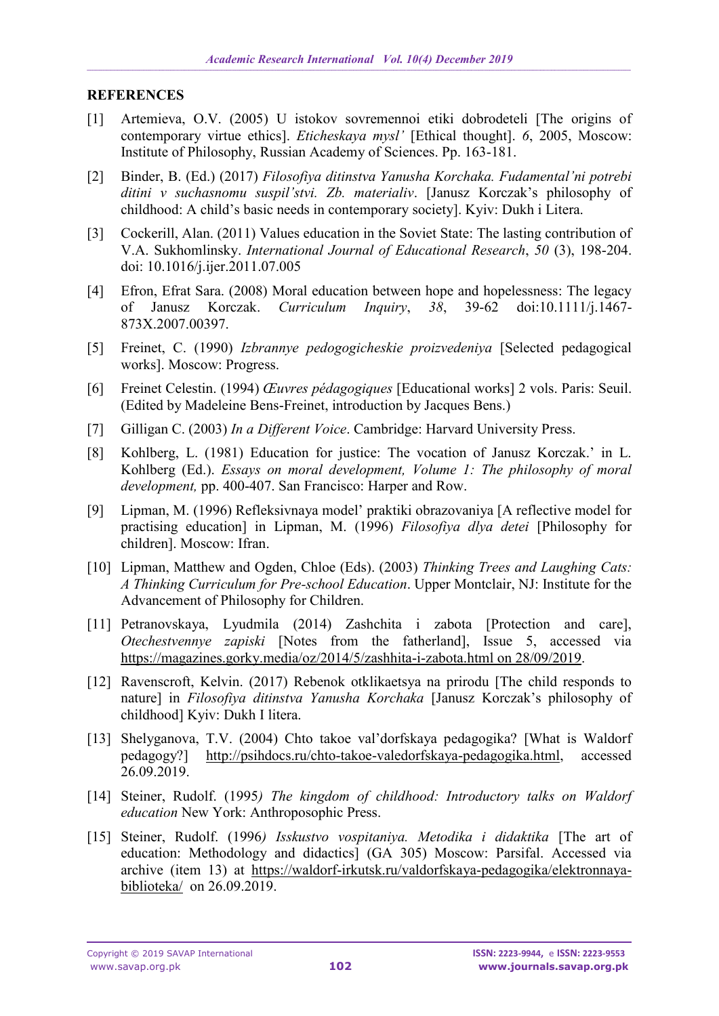#### **REFERENCES**

- [1] Artemieva, O.V. (2005) U istokov sovremennoi etiki dobrodeteli [The origins of contemporary virtue ethics]. *Eticheskaya mysl'* [Ethical thought]. *6*, 2005, Moscow: Institute of Philosophy, Russian Academy of Sciences. Pp. 163-181.
- [2] Binder, B. (Ed.) (2017) *Filosofiya ditinstva Yanusha Korchaka. Fudamental'ni potrebi ditini v suchasnomu suspil'stvi. Zb. materialiv*. [Janusz Korczak's philosophy of childhood: A child's basic needs in contemporary society]. Kyiv: Dukh i Litera.
- [3] Cockerill, Alan. (2011) Values education in the Soviet State: The lasting contribution of V.A. Sukhomlinsky. *International Journal of Educational Research*, *50* (3), 198-204. doi: 10.1016/j.ijer.2011.07.005
- [4] Efron, Efrat Sara. (2008) Moral education between hope and hopelessness: The legacy of Janusz Korczak. *Curriculum Inquiry*, *38*, 39-62 doi:10.1111/j.1467- 873X.2007.00397.
- [5] Freinet, C. (1990) *Izbrannye pedogogicheskie proizvedeniya* [Selected pedagogical works]. Moscow: Progress.
- [6] Freinet Celestin. (1994) *Œuvres pédagogiques* [Educational works] 2 vols. Paris: Seuil. (Edited by Madeleine Bens-Freinet, introduction by Jacques Bens.)
- [7] Gilligan C. (2003) *In a Different Voice*. Cambridge: Harvard University Press.
- [8] Kohlberg, L. (1981) Education for justice: The vocation of Janusz Korczak.' in L. Kohlberg (Ed.). *Essays on moral development, Volume 1: The philosophy of moral development,* pp. 400-407. San Francisco: Harper and Row.
- [9] Lipman, M. (1996) Refleksivnaya model' praktiki obrazovaniya [A reflective model for practising education] in Lipman, M. (1996) *Filosofiya dlya detei* [Philosophy for children]. Moscow: Ifran.
- [10] Lipman, Matthew and Ogden, Chloe (Eds). (2003) *Thinking Trees and Laughing Cats: A Thinking Curriculum for Pre-school Education*. Upper Montclair, NJ: Institute for the Advancement of Philosophy for Children.
- [11] Petranovskaya, Lyudmila (2014) Zashchita i zabota [Protection and care], *Otechestvennye zapiski* [Notes from the fatherland], Issue 5, accessed via [https://magazines.gorky.media/oz/2014/5/zashhita-i-zabota.html on 28/09/2019.](https://magazines.gorky.media/oz/2014/5/zashhita-i-zabota.html%20on%2028/09/2019)
- [12] Ravenscroft, Kelvin. (2017) Rebenok otklikaetsya na prirodu [The child responds to nature] in *Filosofiya ditinstva Yanusha Korchaka* [Janusz Korczak's philosophy of childhood] Kyiv: Dukh I litera.
- [13] Shelyganova, T.V. (2004) Chto takoe val'dorfskaya pedagogika? [What is Waldorf pedagogy?] [http://psihdocs.ru/chto-takoe-valedorfskaya-pedagogika.html,](http://psihdocs.ru/chto-takoe-valedorfskaya-pedagogika.html) accessed 26.09.2019.
- [14] Steiner, Rudolf. (1995*) The kingdom of childhood: Introductory talks on Waldorf education* New York: Anthroposophic Press.
- [15] Steiner, Rudolf. (1996*) Isskustvo vospitaniya. Metodika i didaktika* [The art of education: Methodology and didactics] (GA 305) Moscow: Parsifal. Accessed via archive (item 13) at [https://waldorf-irkutsk.ru/valdorfskaya-pedagogika/elektronnaya](https://waldorf-irkutsk.ru/valdorfskaya-pedagogika/elektronnaya-biblioteka/)[biblioteka/](https://waldorf-irkutsk.ru/valdorfskaya-pedagogika/elektronnaya-biblioteka/) on 26.09.2019.